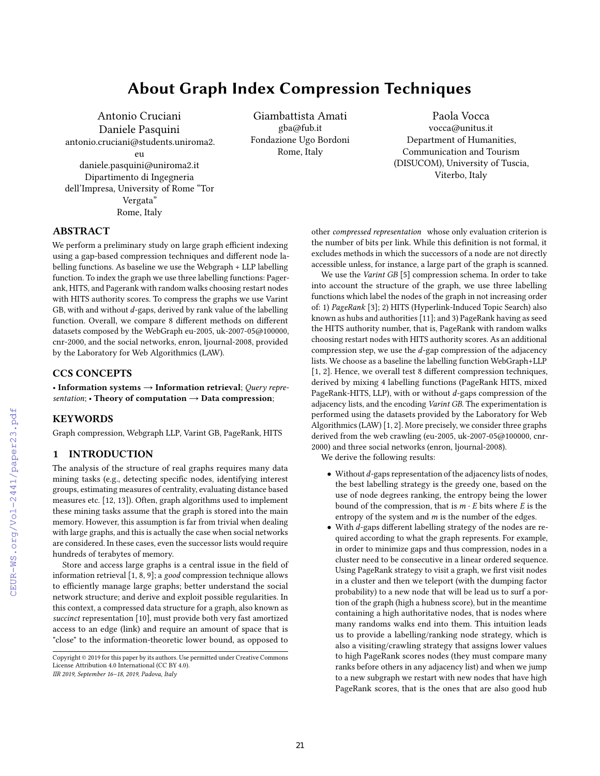# About Graph Index Compression Techniques

Antonio Cruciani Daniele Pasquini antonio.cruciani@students.uniroma2.  $\mathbf{e}_{11}$ daniele.pasquini@uniroma2.it Dipartimento di Ingegneria dell'Impresa, University of Rome "Tor Vergata" Rome, Italy

Giambattista Amati gba@fub.it Fondazione Ugo Bordoni Rome, Italy

Paola Vocca vocca@unitus.it Department of Humanities, Communication and Tourism (DISUCOM), University of Tuscia, Viterbo, Italy

# ABSTRACT

We perform a preliminary study on large graph efficient indexing using a gap-based compression techniques and different node labelling functions. As baseline we use the Webgraph + LLP labelling function. To index the graph we use three labelling functions: Pagerank, HITS, and Pagerank with random walks choosing restart nodes with HITS authority scores. To compress the graphs we use Varint GB, with and without d-gaps, derived by rank value of the labelling function. Overall, we compare 8 different methods on different datasets composed by the WebGraph eu-2005, uk-2007-05@100000, cnr-2000, and the social networks, enron, ljournal-2008, provided by the Laboratory for Web Algorithmics (LAW).

#### CCS CONCEPTS

• Information systems  $\rightarrow$  Information retrieval; Query representation; • Theory of computation  $\rightarrow$  Data compression;

### **KEYWORDS**

Graph compression, Webgraph LLP, Varint GB, PageRank, HITS

#### 1 INTRODUCTION

The analysis of the structure of real graphs requires many data mining tasks (e.g., detecting specific nodes, identifying interest groups, estimating measures of centrality, evaluating distance based measures etc. [12, 13]). Often, graph algorithms used to implement these mining tasks assume that the graph is stored into the main memory. However, this assumption is far from trivial when dealing with large graphs, and this is actually the case when social networks are considered. In these cases, even the successor lists would require hundreds of terabytes of memory.

Store and access large graphs is a central issue in the field of information retrieval [1, 8, 9]; a good compression technique allows to efficiently manage large graphs; better understand the social network structure; and derive and exploit possible regularities. In this context, a compressed data structure for a graph, also known as succinct representation [10], must provide both very fast amortized access to an edge (link) and require an amount of space that is "close" to the information-theoretic lower bound, as opposed to

IIR 2019, September 16–18, 2019, Padova, Italy

other compressed representation whose only evaluation criterion is the number of bits per link. While this definition is not formal, it excludes methods in which the successors of a node are not directly accessible unless, for instance, a large part of the graph is scanned.

We use the Varint GB [5] compression schema. In order to take into account the structure of the graph, we use three labelling functions which label the nodes of the graph in not increasing order of: 1) PageRank [3]; 2) HITS (Hyperlink-Induced Topic Search) also known as hubs and authorities [11]; and 3) PageRank having as seed the HITS authority number, that is, PageRank with random walks choosing restart nodes with HITS authority scores. As an additional compression step, we use the d-gap compression of the adjacency lists. We choose as a baseline the labelling function WebGraph+LLP [1, 2]. Hence, we overall test 8 different compression techniques, derived by mixing 4 labelling functions (PageRank HITS, mixed PageRank-HITS, LLP), with or without d-gaps compression of the adjacency lists, and the encoding Varint GB. The experimentation is performed using the datasets provided by the Laboratory for Web Algorithmics (LAW) [1, 2]. More precisely, we consider three graphs derived from the web crawling (eu-2005, uk-2007-05@100000, cnr-2000) and three social networks (enron, ljournal-2008).

We derive the following results:

- $\bullet$  Without  $d$ -gaps representation of the adjacency lists of nodes, the best labelling strategy is the greedy one, based on the use of node degrees ranking, the entropy being the lower bound of the compression, that is  $m \cdot E$  bits where E is the entropy of the system and  $m$  is the number of the edges.
- With <sup>d</sup>-gaps different labelling strategy of the nodes are required according to what the graph represents. For example, in order to minimize gaps and thus compression, nodes in a cluster need to be consecutive in a linear ordered sequence. Using PageRank strategy to visit a graph, we first visit nodes in a cluster and then we teleport (with the dumping factor probability) to a new node that will be lead us to surf a portion of the graph (high a hubness score), but in the meantime containing a high authoritative nodes, that is nodes where many randoms walks end into them. This intuition leads us to provide a labelling/ranking node strategy, which is also a visiting/crawling strategy that assigns lower values to high PageRank scores nodes (they must compare many ranks before others in any adjacency list) and when we jump to a new subgraph we restart with new nodes that have high PageRank scores, that is the ones that are also good hub

Copyright © 2019 for this paper by its authors. Use permitted under Creative Commons License Attribution 4.0 International (CC BY 4.0).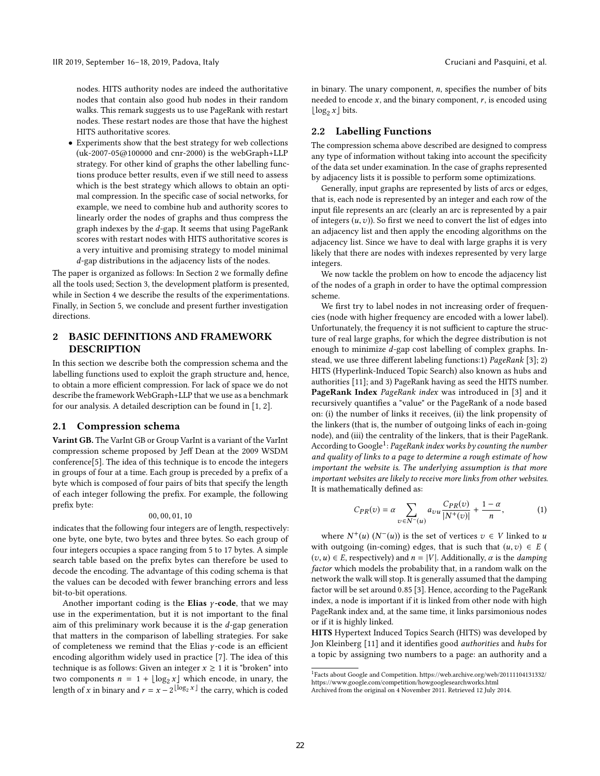nodes. HITS authority nodes are indeed the authoritative nodes that contain also good hub nodes in their random walks. This remark suggests us to use PageRank with restart nodes. These restart nodes are those that have the highest HITS authoritative scores.

• Experiments show that the best strategy for web collections (uk-2007-05@100000 and cnr-2000) is the webGraph+LLP strategy. For other kind of graphs the other labelling functions produce better results, even if we still need to assess which is the best strategy which allows to obtain an optimal compression. In the specific case of social networks, for example, we need to combine hub and authority scores to linearly order the nodes of graphs and thus compress the graph indexes by the d-gap. It seems that using PageRank scores with restart nodes with HITS authoritative scores is a very intuitive and promising strategy to model minimal d-gap distributions in the adjacency lists of the nodes.

The paper is organized as follows: In Section 2 we formally define all the tools used; Section 3, the development platform is presented, while in Section 4 we describe the results of the experimentations. Finally, in Section 5, we conclude and present further investigation directions.

# 2 BASIC DEFINITIONS AND FRAMEWORK DESCRIPTION

In this section we describe both the compression schema and the labelling functions used to exploit the graph structure and, hence, to obtain a more efficient compression. For lack of space we do not describe the framework WebGraph+LLP that we use as a benchmark for our analysis. A detailed description can be found in [1, 2].

#### 2.1 Compression schema

Varint GB. The VarInt GB or Group VarInt is a variant of the VarInt compression scheme proposed by Jeff Dean at the 2009 WSDM conference[5]. The idea of this technique is to encode the integers in groups of four at a time. Each group is preceded by a prefix of a byte which is composed of four pairs of bits that specify the length of each integer following the prefix. For example, the following prefix byte:

#### <sup>00</sup>, <sup>00</sup>, <sup>01</sup>, <sup>10</sup>

indicates that the following four integers are of length, respectively: one byte, one byte, two bytes and three bytes. So each group of four integers occupies a space ranging from 5 to 17 bytes. A simple search table based on the prefix bytes can therefore be used to decode the encoding. The advantage of this coding schema is that the values can be decoded with fewer branching errors and less bit-to-bit operations.

Another important coding is the Elias  $\gamma$ -code, that we may use in the experimentation, but it is not important to the final aim of this preliminary work because it is the  $d$ -gap generation that matters in the comparison of labelling strategies. For sake of completeness we remind that the Elias  $\gamma$ -code is an efficient encoding algorithm widely used in practice [7]. The idea of this technique is as follows: Given an integer  $x \geq 1$  it is "broken" into two components  $n = 1 + \lfloor \log_2 x \rfloor$  which encode, in unary, the length of x in binary and  $r = x - 2^{\lfloor \log_2 x \rfloor}$  the carry, which is coded in binary. The unary component,  $n$ , specifies the number of bits needed to encode  $x$ , and the binary component,  $r$ , is encoded using  $\lfloor \log_2 x \rfloor$  bits.

#### 2.2 Labelling Functions

The compression schema above described are designed to compress any type of information without taking into account the specificity of the data set under examination. In the case of graphs represented by adjacency lists it is possible to perform some optimizations.

Generally, input graphs are represented by lists of arcs or edges, that is, each node is represented by an integer and each row of the input file represents an arc (clearly an arc is represented by a pair of integers  $(u, v)$ ). So first we need to convert the list of edges into an adjacency list and then apply the encoding algorithms on the adjacency list. Since we have to deal with large graphs it is very likely that there are nodes with indexes represented by very large integers.

We now tackle the problem on how to encode the adjacency list of the nodes of a graph in order to have the optimal compression scheme.

We first try to label nodes in not increasing order of frequencies (node with higher frequency are encoded with a lower label). Unfortunately, the frequency it is not sufficient to capture the structure of real large graphs, for which the degree distribution is not enough to minimize d-gap cost labelling of complex graphs. Instead, we use three different labeling functions:1) PageRank [3]; 2) HITS (Hyperlink-Induced Topic Search) also known as hubs and authorities [11]; and 3) PageRank having as seed the HITS number. PageRank Index PageRank index was introduced in [3] and it recursively quantifies a "value" or the PageRank of a node based on: (i) the number of links it receives, (ii) the link propensity of the linkers (that is, the number of outgoing links of each in-going node), and (iii) the centrality of the linkers, that is their PageRank. According to Google $^1$ : PageRank index works by counting the number and quality of links to a page to determine a rough estimate of how important the website is. The underlying assumption is that more important websites are likely to receive more links from other websites. It is mathematically defined as:

$$
C_{PR}(v) = \alpha \sum_{v \in N^{-}(u)} a_{vu} \frac{C_{PR}(v)}{|N^{+}(v)|} + \frac{1-\alpha}{n}, \qquad (1)
$$

where  $N^+(u)$   $(N^-(u))$  is the set of vertices  $v \in V$  linked to u<br>the outgoing (in-coming) edges that is such that  $(u,v) \in E$ with outgoing (in-coming) edges, that is such that  $(u, v) \in E$  (  $(v, u) \in E$ , respectively) and  $n = |V|$ . Additionally,  $\alpha$  is the *damping* factor which models the probability that, in a random walk on the network the walk will stop. It is generally assumed that the damping factor will be set around <sup>0</sup>.<sup>85</sup> [3]. Hence, according to the PageRank index, a node is important if it is linked from other node with high PageRank index and, at the same time, it links parsimonious nodes or if it is highly linked.

HITS Hypertext Induced Topics Search (HITS) was developed by Jon Kleinberg [11] and it identifies good authorities and hubs for a topic by assigning two numbers to a page: an authority and a

<sup>&</sup>lt;sup>1</sup>Facts about Google and Competition. https://web.archive.org/web/20111104131332/ https://www.google.com/competition/howgooglesearchworks.html

Archived from the original on 4 November 2011. Retrieved 12 July 2014.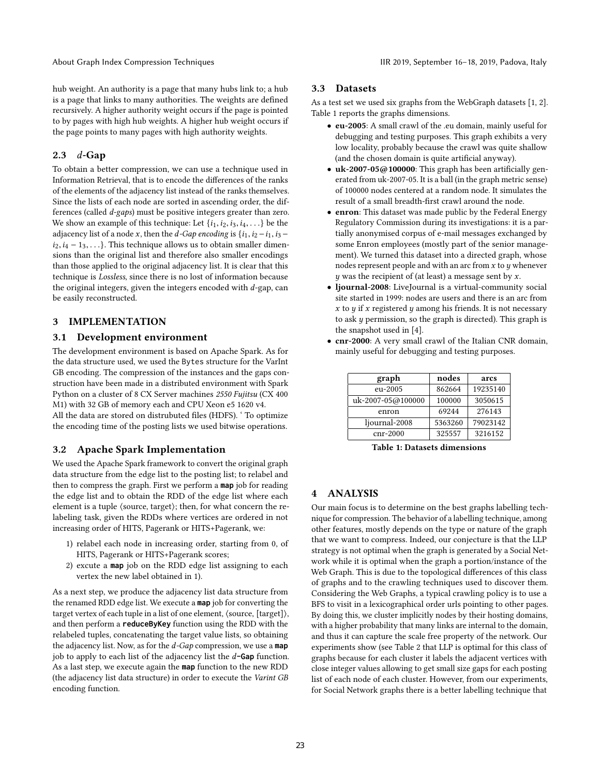hub weight. An authority is a page that many hubs link to; a hub is a page that links to many authorities. The weights are defined recursively. A higher authority weight occurs if the page is pointed to by pages with high hub weights. A higher hub weight occurs if the page points to many pages with high authority weights.

# 2.3 d-Gap

To obtain a better compression, we can use a technique used in Information Retrieval, that is to encode the differences of the ranks of the elements of the adjacency list instead of the ranks themselves. Since the lists of each node are sorted in ascending order, the differences (called d-gaps) must be positive integers greater than zero. We show an example of this technique: Let  $\{i_1, i_2, i_3, i_4, \ldots\}$  be the adjacency list of a node x, then the d-Gap encoding is  $\{i_1, i_2 - i_1, i_3$  $i_2, i_4 - 1_3, \ldots$ . This technique allows us to obtain smaller dimensions than the original list and therefore also smaller encodings than those applied to the original adjacency list. It is clear that this technique is Lossless, since there is no lost of information because the original integers, given the integers encoded with  $d$ -gap, can be easily reconstructed.

# 3 IMPLEMENTATION

# 3.1 Development environment

The development environment is based on Apache Spark. As for the data structure used, we used the Bytes structure for the VarInt GB encoding. The compression of the instances and the gaps construction have been made in a distributed environment with Spark Python on a cluster of 8 CX Server machines 2550 Fujitsu (CX 400 M1) with 32 GB of memory each and CPU Xeon e5 1620 v4. All the data are stored on distrubuted files (HDFS). ' To optimize

the encoding time of the posting lists we used bitwise operations.

#### 3.2 Apache Spark Implementation

We used the Apache Spark framework to convert the original graph data structure from the edge list to the posting list; to relabel and then to compress the graph. First we perform a **map** job for reading the edge list and to obtain the RDD of the edge list where each element is a tuple ⟨source, target⟩; then, for what concern the relabeling task, given the RDDs where vertices are ordered in not increasing order of HITS, Pagerank or HITS+Pagerank, we:

- 1) relabel each node in increasing order, starting from 0, of HITS, Pagerank or HITS+Pagerank scores;
- 2) excute a **map** job on the RDD edge list assigning to each vertex the new label obtained in 1).

As a next step, we produce the adjacency list data structure from the renamed RDD edge list. We execute a **map** job for converting the target vertex of each tuple in a list of one element, ⟨source, [target]⟩, and then perform a **reduceByKey** function using the RDD with the relabeled tuples, concatenating the target value lists, so obtaining the adjacency list. Now, as for the d-Gap compression, we use a **map** job to apply to each list of the adjacency list the d**-Gap** function. As a last step, we execute again the **map** function to the new RDD (the adjacency list data structure) in order to execute the Varint GB encoding function.

#### 3.3 Datasets

As a test set we used six graphs from the WebGraph datasets [1, 2]. Table 1 reports the graphs dimensions.

- eu-2005: A small crawl of the .eu domain, mainly useful for debugging and testing purposes. This graph exhibits a very low locality, probably because the crawl was quite shallow (and the chosen domain is quite artificial anyway).
- uk-2007-05@100000: This graph has been artificially generated from uk-2007-05. It is a ball (in the graph metric sense) of 100000 nodes centered at a random node. It simulates the result of a small breadth-first crawl around the node.
- enron: This dataset was made public by the Federal Energy Regulatory Commission during its investigations: it is a partially anonymised corpus of e-mail messages exchanged by some Enron employees (mostly part of the senior management). We turned this dataset into a directed graph, whose nodes represent people and with an arc from  $x$  to  $y$  whenever  $y$  was the recipient of (at least) a message sent by x.
- ljournal-2008: LiveJournal is a virtual-community social site started in 1999: nodes are users and there is an arc from x to  $y$  if x registered  $y$  among his friends. It is not necessary to ask  $y$  permission, so the graph is directed). This graph is the snapshot used in [4].

• cnr-2000: A very small crawl of the Italian CNR domain, mainly useful for debugging and testing purposes.

| graph             | nodes   | arcs     |  |  |
|-------------------|---------|----------|--|--|
| eu-2005           | 862664  | 19235140 |  |  |
| uk-2007-05@100000 | 100000  | 3050615  |  |  |
| enron             | 69244   | 276143   |  |  |
| ljournal-2008     | 5363260 | 79023142 |  |  |
| cnr-2000          | 325557  | 3216152  |  |  |

cnr-2000 325557 3216152

Table 1: Datasets dimensions

# 4 ANALYSIS

Our main focus is to determine on the best graphs labelling technique for compression. The behavior of a labelling technique, among other features, mostly depends on the type or nature of the graph that we want to compress. Indeed, our conjecture is that the LLP strategy is not optimal when the graph is generated by a Social Network while it is optimal when the graph a portion/instance of the Web Graph. This is due to the topological differences of this class of graphs and to the crawling techniques used to discover them. Considering the Web Graphs, a typical crawling policy is to use a BFS to visit in a lexicographical order urls pointing to other pages. By doing this, we cluster implicitly nodes by their hosting domains, with a higher probability that many links are internal to the domain, and thus it can capture the scale free property of the network. Our experiments show (see Table 2 that LLP is optimal for this class of graphs because for each cluster it labels the adjacent vertices with close integer values allowing to get small size gaps for each posting list of each node of each cluster. However, from our experiments, for Social Network graphs there is a better labelling technique that